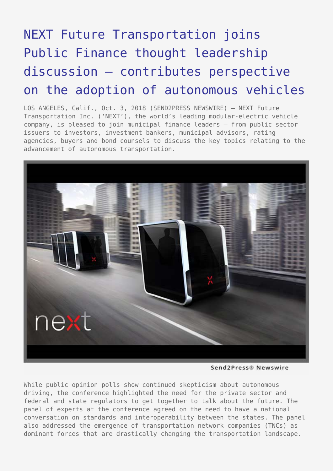## [NEXT Future Transportation joins](https://www.send2press.com/wire/next-future-transportation-joins-public-finance-thought-leadership-discussion-contributes-perspective-on-the-adoption-of-autonomous-vehicles/) [Public Finance thought leadership](https://www.send2press.com/wire/next-future-transportation-joins-public-finance-thought-leadership-discussion-contributes-perspective-on-the-adoption-of-autonomous-vehicles/) [discussion – contributes perspective](https://www.send2press.com/wire/next-future-transportation-joins-public-finance-thought-leadership-discussion-contributes-perspective-on-the-adoption-of-autonomous-vehicles/) [on the adoption of autonomous vehicles](https://www.send2press.com/wire/next-future-transportation-joins-public-finance-thought-leadership-discussion-contributes-perspective-on-the-adoption-of-autonomous-vehicles/)

LOS ANGELES, Calif., Oct. 3, 2018 (SEND2PRESS NEWSWIRE) — NEXT Future Transportation Inc. ('NEXT'), the world's leading modular-electric vehicle company, is pleased to join municipal finance leaders – from public sector issuers to investors, investment bankers, municipal advisors, rating agencies, buyers and bond counsels to discuss the key topics relating to the advancement of autonomous transportation.



Send2Press® Newswire

While public opinion polls show continued skepticism about autonomous driving, the conference highlighted the need for the private sector and federal and state regulators to get together to talk about the future. The panel of experts at the conference agreed on the need to have a national conversation on standards and interoperability between the states. The panel also addressed the emergence of transportation network companies (TNCs) as dominant forces that are drastically changing the transportation landscape.